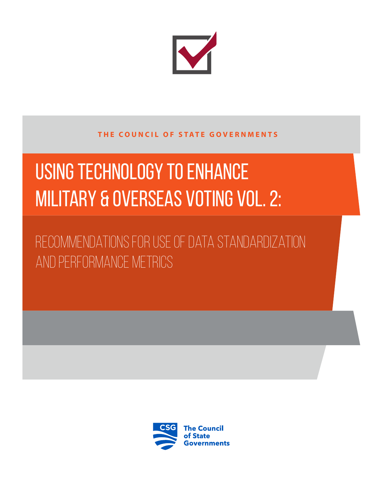

### **THE COUNCIL OF STATE GOVERNMENTS**

# Using Technology to Enhance MILITARY & OVERSEAS VOTING VOL. 2:

Recommendations for Use of Data Standardization and Performance Metrics

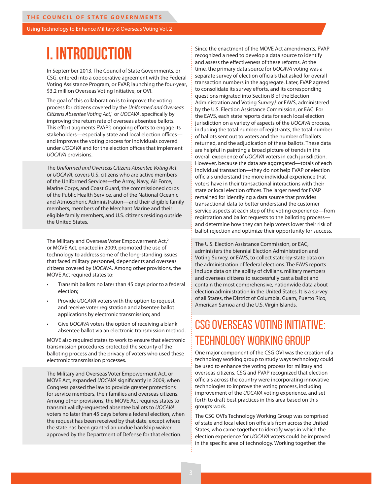# **I. INTRODUCTION**

In September 2013, The Council of State Governments, or CSG, entered into a cooperative agreement with the Federal Voting Assistance Program, or FVAP, launching the four-year, \$3.2 million Overseas Voting Initiative, or OVI.

The goal of this collaboration is to improve the voting process for citizens covered by the *Uniformed and Overseas*  Citizens Absentee Voting Act,<sup>1</sup> or UOCAVA, specifically by improving the return rate of overseas absentee ballots. This effort augments FVAP's ongoing efforts to engage its stakeholders—especially state and local election offices and improves the voting process for individuals covered under *UOCAVA* and for the election offices that implement *UOCAVA* provisions.

The *Uniformed and Overseas Citizens Absentee Voting Act*, or *UOCAVA*, covers U.S. citizens who are active members of the Uniformed Services—the Army, Navy, Air Force, Marine Corps, and Coast Guard, the commissioned corps of the Public Health Service, and of the National Oceanic and Atmospheric Administration—and their eligible family members, members of the Merchant Marine and their eligible family members, and U.S. citizens residing outside the United States.

The Military and Overseas Voter Empowerment Act,<sup>2</sup> or MOVE Act, enacted in 2009, promoted the use of technology to address some of the long-standing issues that faced military personnel, dependents and overseas citizens covered by *UOCAVA*. Among other provisions, the MOVE Act required states to:

- Transmit ballots no later than 45 days prior to a federal election;
- Provide *UOCAVA* voters with the option to request and receive voter registration and absentee ballot applications by electronic transmission; and
- Give *UOCAVA* voters the option of receiving a blank absentee ballot via an electronic transmission method.

MOVE also required states to work to ensure that electronic transmission procedures protected the security of the balloting process and the privacy of voters who used these electronic transmission processes.

The Military and Overseas Voter Empowerment Act, or MOVE Act, expanded *UOCAVA* significantly in 2009, when Congress passed the law to provide greater protections for service members, their families and overseas citizens. Among other provisions, the MOVE Act requires states to transmit validly-requested absentee ballots to *UOCAVA* voters no later than 45 days before a federal election, when the request has been received by that date, except where the state has been granted an undue hardship waiver approved by the Department of Defense for that election.

Since the enactment of the MOVE Act amendments, FVAP recognized a need to develop a data source to identify and assess the effectiveness of these reforms. At the time, the primary data source for *UOCAVA* voting was a separate survey of election officials that asked for overall transaction numbers in the aggregate. Later, FVAP agreed to consolidate its survey efforts, and its corresponding questions migrated into Section B of the Election Administration and Voting Survey,<sup>3</sup> or EAVS, administered by the U.S. Election Assistance Commission, or EAC. For the EAVS, each state reports data for each local election jurisdiction on a variety of aspects of the *UOCAVA* process, including the total number of registrants, the total number of ballots sent out to voters and the number of ballots returned, and the adjudication of these ballots. These data are helpful in painting a broad picture of trends in the overall experience of *UOCAVA* voters in each jurisdiction. However, because the data are aggregated—totals of each individual transaction—they do not help FVAP or election officials understand the more individual experience that voters have in their transactional interactions with their state or local election offices. The larger need for FVAP remained for identifying a data source that provides transactional data to better understand the customer service aspects at each step of the voting experience—from registration and ballot requests to the balloting process and determine how they can help voters lower their risk of ballot rejection and optimize their opportunity for success.

The U.S. Election Assistance Commission, or EAC, administers the biennial Election Administration and Voting Survey, or EAVS, to collect state-by-state data on the administration of federal elections. The EAVS reports include data on the ability of civilians, military members and overseas citizens to successfully cast a ballot and contain the most comprehensive, nationwide data about election administration in the United States. It is a survey of all States, the District of Columbia, Guam, Puerto Rico, American Samoa and the U.S. Virgin Islands.

## CSG OVERSEAS VOTING INITIATIVE: TECHNOLOGY WORKING GROUP

One major component of the CSG OVI was the creation of a technology working group to study ways technology could be used to enhance the voting process for military and overseas citizens. CSG and FVAP recognized that election officials across the country were incorporating innovative technologies to improve the voting process, including improvement of the *UOCAVA* voting experience, and set forth to draft best practices in this area based on this group's work.

The CSG OVI's Technology Working Group was comprised of state and local election officials from across the United States, who came together to identify ways in which the election experience for *UOCAVA* voters could be improved in the specific area of technology. Working together, the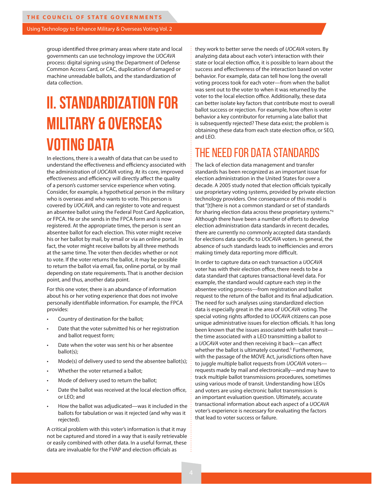group identified three primary areas where state and local governments can use technology improve the *UOCAVA* process: digital signing using the Department of Defense Common Access Card, or CAC, duplication of damaged or machine unreadable ballots, and the standardization of data collection.

# **II. STANDARDIZATION FOR MILITARY & OVERSEAS VOTING DATA**

In elections, there is a wealth of data that can be used to understand the effectiveness and efficiency associated with the administration of *UOCAVA* voting. At its core, improved effectiveness and efficiency will directly affect the quality of a person's customer service experience when voting. Consider, for example, a hypothetical person in the military who is overseas and who wants to vote. This person is covered by *UOCAVA*, and can register to vote and request an absentee ballot using the Federal Post Card Application, or FPCA. He or she sends in the FPCA form and is now registered. At the appropriate times, the person is sent an absentee ballot for each election. This voter might receive his or her ballot by mail, by email or via an online portal. In fact, the voter might receive ballots by all three methods at the same time. The voter then decides whether or not to vote. If the voter returns the ballot, it may be possible to return the ballot via email, fax, online portal, or by mail depending on state requirements. That is another decision point, and thus, another data point.

For this one voter, there is an abundance of information about his or her voting experience that does not involve personally identifiable information. For example, the FPCA provides:

- Country of destination for the ballot;
- Date that the voter submitted his or her registration and ballot request form;
- Date when the voter was sent his or her absentee ballot(s);
- Mode(s) of delivery used to send the absentee ballot(s);
- Whether the voter returned a ballot;
- Mode of delivery used to return the ballot;
- Date the ballot was received at the local election office, or LEO; and
- How the ballot was adjudicated—was it included in the ballots for tabulation or was it rejected (and why was it rejected).

A critical problem with this voter's information is that it may not be captured and stored in a way that is easily retrievable or easily combined with other data. In a useful format, these data are invaluable for the FVAP and election officials as

they work to better serve the needs of *UOCAVA* voters. By analyzing data about each voter's interaction with their state or local election office, it is possible to learn about the success and effectiveness of the interaction based on voter behavior. For example, data can tell how long the overall voting process took for each voter—from when the ballot was sent out to the voter to when it was returned by the voter to the local election office. Additionally, these data can better isolate key factors that contribute most to overall ballot success or rejection. For example, how often is voter behavior a key contributor for returning a late ballot that is subsequently rejected? These data exist; the problem is obtaining these data from each state election office, or SEO, and LEO.

## THE NEED FOR DATA STANDARDS

The lack of election data management and transfer standards has been recognized as an important issue for election administration in the United States for over a decade. A 2005 study noted that election officials typically use proprietary voting systems, provided by private election technology providers. One consequence of this model is that "[t]here is not a common standard or set of standards for sharing election data across these proprietary systems."4 Although there have been a number of efforts to develop election administration data standards in recent decades, there are currently no commonly accepted data standards for elections data specific to *UOCAVA* voters. In general, the absence of such standards leads to inefficiencies and errors making timely data reporting more difficult.

In order to capture data on each transaction a *UOCAVA* voter has with their election office, there needs to be a data standard that captures transactional-level data. For example, the standard would capture each step in the absentee voting process—from registration and ballot request to the return of the ballot and its final adjudication. The need for such analyses using standardized election data is especially great in the area of *UOCAVA* voting. The special voting rights afforded to *UOCAVA* citizens can pose unique administrative issues for election officials. It has long been known that the issues associated with ballot transitthe time associated with a LEO transmitting a ballot to a *UOCAVA* voter and then receiving it back—can affect whether the ballot is ultimately counted.<sup>5</sup> Furthermore, with the passage of the MOVE Act, jurisdictions often have to juggle multiple ballot requests from *UOCAVA* voters requests made by mail and electronically—and may have to track multiple ballot transmissions procedures, sometimes using various mode of transit. Understanding how LEOs and voters are using electronic ballot transmission is an important evaluation question. Ultimately, accurate transactional information about each aspect of a *UOCAVA* voter's experience is necessary for evaluating the factors that lead to voter success or failure.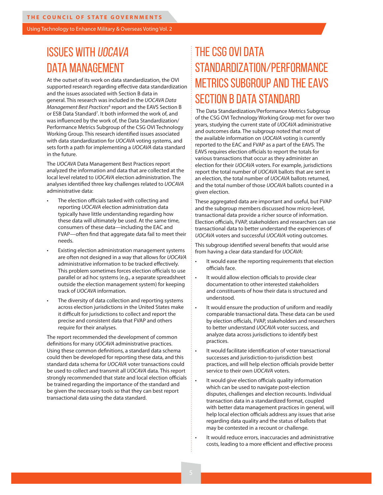# ISSUES WITH UOCAVA DATA MANAGEMENT

At the outset of its work on data standardization, the OVI supported research regarding effective data standardization and the issues associated with Section B data in general. This research was included in the *UOCAVA Data*  Management Best Practices<sup>6</sup> report and the EAVS Section B or ESB Data Standard<sup>7</sup>. It both informed the work of, and was influenced by the work of, the Data Standardization/ Performance Metrics Subgroup of the CSG OVI Technology Working Group. This research identified issues associated with data standardization for *UOCAVA* voting systems, and sets forth a path for implementing a *UOCAVA* data standard in the future.

The *UOCAVA* Data Management Best Practices report analyzed the information and data that are collected at the local level related to *UOCAVA* election administration. The analyses identified three key challenges related to *UOCAVA* administrative data:

- The election officials tasked with collecting and reporting *UOCAVA* election administration data typically have little understanding regarding how these data will ultimately be used. At the same time, consumers of these data—including the EAC and FVAP—often find that aggregate data fail to meet their needs.
- Existing election administration management systems are often not designed in a way that allows for *UOCAVA* administrative information to be tracked effectively. This problem sometimes forces election officials to use parallel or ad hoc systems (e.g., a separate spreadsheet outside the election management system) for keeping track of *UOCAVA* information.
- The diversity of data collection and reporting systems across election jurisdictions in the United States make it difficult for jurisdictions to collect and report the precise and consistent data that FVAP and others require for their analyses.

The report recommended the development of common definitions for many *UOCAVA* administrative practices. Using these common definitions, a standard data schema could then be developed for reporting these data, and this standard data schema for *UOCAVA* voter transactions could be used to collect and transmit all *UOCAVA* data. This report strongly recommended that state and local election officials be trained regarding the importance of the standard and be given the necessary tools so that they can best report transactional data using the data standard.

# THE CSG OVI DATA STANDARDIZATION/PERFORMANCE METRICS SUBGROUP AND THE EAVS SECTION B DATA STANDARD

 The Data Standardization/Performance Metrics Subgroup of the CSG OVI Technology Working Group met for over two years, studying the current state of *UOCAVA* administrative and outcomes data. The subgroup noted that most of the available information on *UOCAVA* voting is currently reported to the EAC and FVAP as a part of the EAVS. The EAVS requires election officials to report the totals for various transactions that occur as they administer an election for their *UOCAVA* voters. For example, jurisdictions report the total number of *UOCAVA* ballots that are sent in an election, the total number of *UOCAVA* ballots returned, and the total number of those *UOCAVA* ballots counted in a given election.

These aggregated data are important and useful, but FVAP and the subgroup members discussed how micro-level, transactional data provide a richer source of information. Election officials, FVAP, stakeholders and researchers can use transactional data to better understand the experiences of *UOCAVA* voters and successful *UOCAVA* voting outcomes.

This subgroup identified several benefits that would arise from having a clear data standard for *UOCAVA*:

- It would ease the reporting requirements that election officials face.
- It would allow election officials to provide clear documentation to other interested stakeholders and constituents of how their data is structured and understood.
- It would ensure the production of uniform and readily comparable transactional data. These data can be used by election officials, FVAP, stakeholders and researchers to better understand *UOCAVA* voter success, and analyze data across jurisdictions to identify best practices.
	- It would facilitate identification of voter transactional successes and jurisdiction-to-jurisdiction best practices, and will help election officials provide better service to their own *UOCAVA* voters.
	- It would give election officials quality information which can be used to navigate post-election disputes, challenges and election recounts. Individual transaction data in a standardized format, coupled with better data management practices in general, will help local election officials address any issues that arise regarding data quality and the status of ballots that may be contested in a recount or challenge.

It would reduce errors, inaccuracies and administrative costs, leading to a more efficient and effective process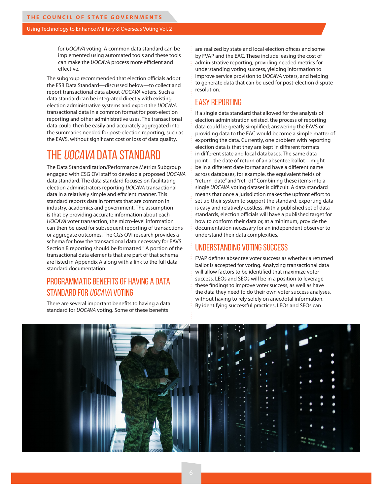for *UOCAVA* voting. A common data standard can be implemented using automated tools and these tools can make the *UOCAVA* process more efficient and effective.

The subgroup recommended that election officials adopt the ESB Data Standard—discussed below—to collect and report transactional data about *UOCAVA* voters. Such a data standard can be integrated directly with existing election administrative systems and export the *UOCAVA* transactional data in a common format for post-election reporting and other administrative uses. The transactional data could then be easily and accurately aggregated into the summaries needed for post-election reporting, such as the EAVS, without significant cost or loss of data quality.

## THE UOCAVA DATA STANDARD

The Data Standardization/Performance Metrics Subgroup engaged with CSG OVI staff to develop a proposed *UOCAVA* data standard. The data standard focuses on facilitating election administrators reporting *UOCAVA* transactional data in a relatively simple and efficient manner. This standard reports data in formats that are common in industry, academics and government. The assumption is that by providing accurate information about each *UOCAVA* voter transaction, the micro-level information can then be used for subsequent reporting of transactions or aggregate outcomes. The CGS OVI research provides a schema for how the transactional data necessary for EAVS Section B reporting should be formatted.<sup>8</sup> A portion of the transactional data elements that are part of that schema are listed in Appendix A along with a link to the full data standard documentation.

## PROGRAMMATIC BENEFITS OF HAVING A DATA STANDARD FOR UOCAVA VOTING

There are several important benefits to having a data standard for *UOCAVA* voting. Some of these benefits

are realized by state and local election offices and some by FVAP and the EAC. These include: easing the cost of administrative reporting, providing needed metrics for understanding voting success, yielding information to improve service provision to *UOCAVA* voters, and helping to generate data that can be used for post-election dispute resolution.

### EASY REPORTING

If a single data standard that allowed for the analysis of election administration existed, the process of reporting data could be greatly simplified; answering the EAVS or providing data to the EAC would become a simple matter of exporting the data. Currently, one problem with reporting election data is that they are kept in different formats in different state and local databases. The same data point—the date of return of an absentee ballot—might be in a different date format and have a different name across databases, for example, the equivalent fields of "return\_date" and "ret\_dt." Combining these items into a single *UOCAVA* voting dataset is difficult. A data standard means that once a jurisdiction makes the upfront effort to set up their system to support the standard, exporting data is easy and relatively costless. With a published set of data standards, election officials will have a published target for how to conform their data or, at a minimum, provide the documentation necessary for an independent observer to understand their data complexities.

#### UNDERSTANDING VOTING SUCCESS

FVAP defines absentee voter success as whether a returned ballot is accepted for voting. Analyzing transactional data will allow factors to be identified that maximize voter success. LEOs and SEOs will be in a position to leverage these findings to improve voter success, as well as have the data they need to do their own voter success analyses, without having to rely solely on anecdotal information. By identifying successful practices, LEOs and SEOs can

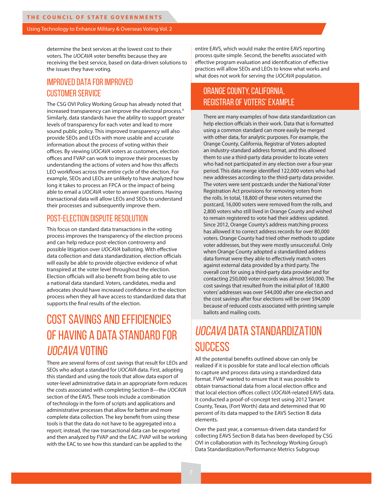determine the best services at the lowest cost to their voters. The *UOCAVA* voter benefits because they are receiving the best service, based on data-driven solutions to the issues they have voting.

## IMPROVED DATA FOR IMPROVED CUSTOMER SERVICE

The CSG OVI Policy Working Group has already noted that increased transparency can improve the electoral process.<sup>9</sup> Similarly, data standards have the ability to support greater levels of transparency for each voter and lead to more sound public policy. This improved transparency will also provide SEOs and LEOs with more usable and accurate information about the process of voting within their offices. By viewing *UOCAVA* voters as customers, election offices and FVAP can work to improve their processes by understanding the actions of voters and how this affects LEO workflows across the entire cycle of the election. For example, SEOs and LEOs are unlikely to have analyzed how long it takes to process an FPCA or the impact of being able to email a *UOCAVA* voter to answer questions. Having transactional data will allow LEOs and SEOs to understand their processes and subsequently improve them.

#### POST-ELECTION DISPUTE RESOLUTION

This focus on standard data transactions in the voting process improves the transparency of the election process and can help reduce post-election controversy and possible litigation over *UOCAVA* balloting. With effective data collection and data standardization, election officials will easily be able to provide objective evidence of what transpired at the voter level throughout the election. Election officials will also benefit from being able to use a national data standard. Voters, candidates, media and advocates should have increased confidence in the election process when they all have access to standardized data that supports the final results of the election.

# COST SAVINGS AND EFFICIENCIES OF HAVING A DATA STANDARD FOR UOCAVA VOTING

There are several forms of cost savings that result for LEOs and SEOs who adopt a standard for *UOCAVA* data. First, adopting this standard and using the tools that allow data export of voter-level administrative data in an appropriate form reduces the costs associated with completing Section B—the *UOCAVA* section of the EAVS. These tools include a combination of technology in the form of scripts and applications and administrative processes that allow for better and more complete data collection. The key benefit from using these tools is that the data do not have to be aggregated into a report; instead, the raw transactional data can be exported and then analyzed by FVAP and the EAC. FVAP will be working with the EAC to see how this standard can be applied to the

entire EAVS, which would make the entire EAVS reporting process quite simple. Second, the benefits associated with effective program evaluation and identification of effective practices will allow SEOs and LEOs to know what works and what does not work for serving the *UOCAVA* population.

## ORANGE COUNTY, CALIFORNIA, REGISTRAR OF VOTERS' EXAMPLE

There are many examples of how data standardization can help election officials in their work. Data that is formatted using a common standard can more easily be merged with other data, for analytic purposes. For example, the Orange County, California, Registrar of Voters adopted an industry-standard address format, and this allowed them to use a third-party data provider to locate voters who had not participated in any election over a four-year period. This data merge identified 122,000 voters who had new addresses according to the third-party data provider. The voters were sent postcards under the National Voter Registration Act provisions for removing voters from the rolls. In total, 18,800 of these voters returned the postcard, 16,000 voters were removed from the rolls, and 2,800 voters who still lived in Orange County and wished to remain registered to vote had their address updated. Since 2012, Orange County's address matching process has allowed it to correct address records for over 80,000 voters. Orange County had tried other methods to update voter addresses, but they were mostly unsuccessful. Only when Orange County adopted a standardized address data format were they able to effectively match voters against external data provided by a third party. The overall cost for using a third-party data provider and for contacting 250,000 voter records was almost \$60,000. The cost savings that resulted from the initial pilot of 18,800 voters' addresses was over \$44,000 after one election and the cost savings after four elections will be over \$94,000 because of reduced costs associated with printing sample ballots and mailing costs.

# UOCAVA DATA STANDARDIZATION **SUCCESS**

All the potential benefits outlined above can only be realized if it is possible for state and local election officials to capture and process data using a standardized data format. FVAP wanted to ensure that it was possible to obtain transactional data from a local election office and that local election offices collect *UOCAVA*-related EAVS data. It conducted a proof-of-concept test using 2012 Tarrant County, Texas, (Fort Worth) data and determined that 90 percent of its data mapped to the EAVS Section B data elements.

Over the past year, a consensus-driven data standard for collecting EAVS Section B data has been developed by CSG OVI in collaboration with its Technology Working Group's Data Standardization/Performance Metrics Subgroup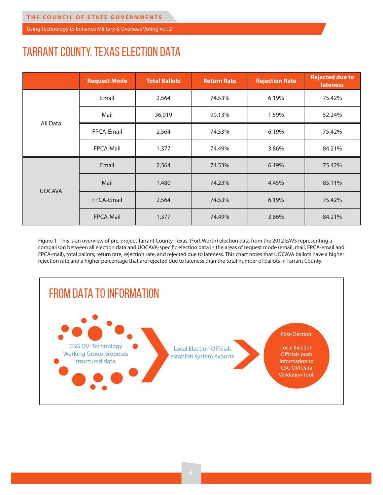# TARRANT COUNTY, TEXAS ELECTION DATA

|               | <b>Request Mode</b> | <b>Total Ballots</b> | <b>Return Rate</b> | <b>Rejection Rate</b> | <b>Rejected due to</b><br><b>lateness</b> |
|---------------|---------------------|----------------------|--------------------|-----------------------|-------------------------------------------|
| All Data      | Email               | 2,564                | 74.53%             | 6.19%                 | 75.42%                                    |
|               | Mail                | 36,019               | 90.13%             | 1.59%                 | 52.24%                                    |
|               | FPCA-Email          | 2,564                | 74.53%             | 6.19%                 | 75.42%                                    |
|               | FPCA-Mail           | 1,377                | 74.49%             | 3.86%                 | 84.21%                                    |
| <b>UOCAVA</b> | Email               | 2,564                | 74.53%             | 6.19%                 | 75.42%                                    |
|               | Mail                | 1,480                | 74.23%             | 4.45%                 | 85.11%                                    |
|               | FPCA-Email          | 2,564                | 74.53%             | 6.19%                 | 75.42%                                    |
|               | FPCA-Mail           | 1,377                | 74.49%             | 3.86%                 | 84.21%                                    |

Figure 1- This is an overview of pre-project Tarrant County, Texas, (Fort Worth) election data from the 2012 EAVS representing a comparison between all election data and UOCAVA-specific election data in the areas of request mode (email, mail, FPCA-email and FPCA-mail), total ballots, return rate, rejection rate, and rejected due to lateness. This chart notes that UOCAVA ballots have a higher rejection rate and a higher percentage that are rejected due to lateness than the total number of ballots in Tarrant County.

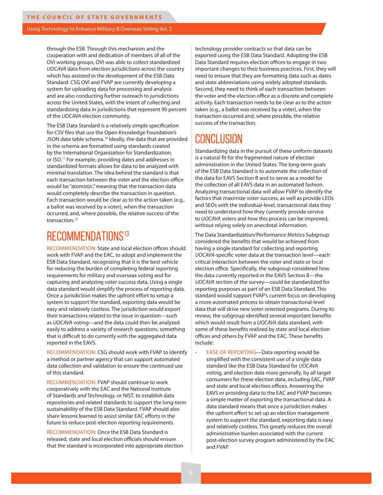through the ESB. Through this mechanism and the cooperation with and dedication of members of all of the OVI working groups, OVI was able to collect standardized *UOCAVA* data from election jurisdictions across the country which has assisted in the development of the ESB Data Standard. CSG OVI and FVAP are currently developing a system for uploading data for processing and analysis and are also conducting further outreach to jurisdictions across the United States, with the intent of collecting and standardizing data in jurisdictions that represent 90 percent of the *UOCAVA* election community.

The ESB Data Standard is a relatively simple specification for CSV files that use the Open Knowledge Foundation's JSON data table schema.<sup>10</sup> Ideally, the data that are provided in the schema are formatted using standards created by the International Organization for Standardization, or ISO.<sup>11</sup> For example, providing dates and addresses in standardized formats allows for data to be analyzed with minimal translation. The idea behind the standard is that each transaction between the voter and the election office would be "atomistic," meaning that the transaction data would completely describe the transaction in question. Each transaction would be clear as to the action taken (e.g., a ballot was received by a voter), when the transaction occurred, and, where possible, the relative success of the transaction.<sup>12</sup>

## RECOMMENDATIONS<sup>13</sup>

RECOMMENDATION: State and local election offices should work with FVAP and the EAC, to adopt and implement the ESB Data Standard, recognizing that it is the best vehicle for reducing the burden of completing federal reporting requirements for military and overseas voting and for capturing and analyzing voter success data. Using a single data standard would simplify the process of reporting data. Once a jurisdiction makes the upfront effort to setup a system to support the standard, exporting data would be easy and relatively costless. The jurisdiction would export their transactions related to the issue in question—such as *UOCAVA* voting—and the data could then be analyzed easily to address a variety of research questions, something that is difficult to do currently with the aggregated data reported in the EAVS.

RECOMMENDATION: CSG should work with FVAP to identify a method or partner agency that can support automated data collection and validation to ensure the continued use of this standard.

RECOMMENDATION: FVAP should continue to work cooperatively with the EAC and the National Institute of Standards and Technology, or NIST, to establish data repositories and related standards to support the long-term sustainability of the ESB Data Standard. FVAP should also share lessons learned to assist similar EAC efforts in the future to reduce post-election reporting requirements.

RECOMMENDATION: Once the ESB Data Standard is released, state and local election officials should ensure that the standard is incorporated into appropriate election technology provider contracts so that data can be exported using the ESB Data Standard. Adopting the ESB Data Standard requires election offices to engage in two important changes to their business practices. First, they will need to ensure that they are formatting data such as dates and state abbreviations using widely adopted standards. Second, they need to think of each transaction between the voter and the election office as a discrete and complete activity. Each transaction needs to be clear as to the action taken (e.g., a ballot was received by a voter), when the transaction occurred and, where possible, the relative success of the transaction.

## CONCLUSION

Standardizing data in the pursuit of these uniform datasets is a natural fit for the fragmented nature of election administration in the United States. The long-term goals of the ESB Data Standard is to automate the collection of the data for EAVS Section B and to serve as a model for the collection of all EAVS data in an automated fashion. Analyzing transactional data will allow FVAP to identify the factors that maximize voter success, as well as provide LEOs and SEOs with the individual-level, transactional data they need to understand how they currently provide service to *UOCAVA* voters and how this process can be improved, without relying solely on anecdotal information.

The Data Standardization/Performance Metrics Subgroup considered the benefits that would be achieved from having a single standard for collecting and reporting *UOCAVA*-specific voter data at the transaction level—each critical interaction between the voter and state or local election office. Specifically, the subgroup considered how the data currently reported in the EAVS Section B—the *UOCAVA* section of the survey—could be standardized for reporting purposes as part of an ESB Data Standard. This standard would support FVAP's current focus on developing a more automated process to obtain transactional-level data that will drive new voter-oriented programs. During its review, the subgroup identified several important benefits which would result from a *UOCAVA* data standard, with some of these benefits realized by state and local election offices and others by FVAP and the EAC. These benefits include:

EASE OF REPORTING—Data reporting would be simplified with the consistent use of a single data standard like the ESB Data Standard for *UOCAVA* voting, and election data more generally, by all target consumers for these election data, including EAC, FVAP and state and local election offices. Answering the EAVS or providing data to the EAC and FVAP becomes a simple matter of exporting the transactional data. A data standard means that once a jurisdiction makes the upfront effort to set up an election management system to support the standard, exporting data is easy and relatively costless. This greatly reduces the overall administrative burden associated with the current post-election survey program administered by the EAC and FVAP.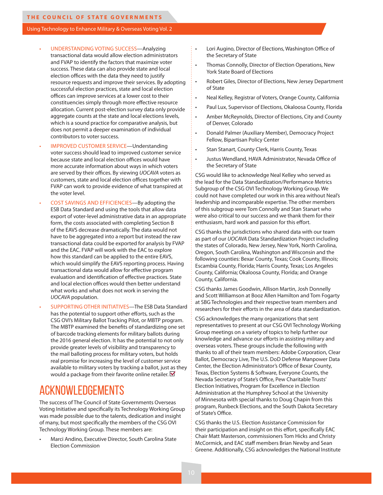- UNDERSTANDING VOTING SUCCESS—Analyzing transactional data would allow election administrators and FVAP to identify the factors that maximize voter success. These data can also provide state and local election offices with the data they need to justify resource requests and improve their services. By adopting successful election practices, state and local election offices can improve services at a lower cost to their constituencies simply through more effective resource allocation. Current post-election survey data only provide aggregate counts at the state and local elections levels, which is a sound practice for comparative analysis, but does not permit a deeper examination of individual contributors to voter success.
- IMPROVED CUSTOMER SERVICE—Understanding voter success should lead to improved customer service because state and local election offices would have more accurate information about ways in which voters are served by their offices. By viewing *UOCAVA* voters as customers, state and local election offices together with FVAP can work to provide evidence of what transpired at the voter level.
- COST SAVINGS AND EFFICIENCIES—By adopting the ESB Data Standard and using the tools that allow data export of voter-level administrative data in an appropriate form, the costs associated with completing Section B of the EAVS decrease dramatically. The data would not have to be aggregated into a report but instead the raw transactional data could be exported for analysis by FVAP and the EAC. FVAP will work with the EAC to explore how this standard can be applied to the entire EAVS, which would simplify the EAVS reporting process. Having transactional data would allow for effective program evaluation and identification of effective practices. State and local election offices would then better understand what works and what does not work in serving the *UOCAVA* population.
- SUPPORTING OTHER INITIATIVES—The ESB Data Standard has the potential to support other efforts, such as the CSG OVI's Military Ballot Tracking Pilot, or MBTP program. The MBTP examined the benefits of standardizing one set of barcode tracking elements for military ballots during the 2016 general election. It has the potential to not only provide greater levels of visibility and transparency to the mail balloting process for military voters, but holds real promise for increasing the level of customer service available to military voters by tracking a ballot, just as they would a package from their favorite online retailer.  $\blacksquare$

## ACKNOWLEDGEMENTS

The success of The Council of State Governments Overseas Voting Initiative and specifically its Technology Working Group was made possible due to the talents, dedication and insight of many, but most specifically the members of the CSG OVI Technology Working Group. These members are:

• Marci Andino, Executive Director, South Carolina State Election Commission

- Lori Augino, Director of Elections, Washington Office of the Secretary of State
- Thomas Connolly, Director of Election Operations, New York State Board of Elections
- Robert Giles, Director of Elections, New Jersey Department of State
- Neal Kelley, Registrar of Voters, Orange County, California
- Paul Lux, Supervisor of Elections, Okaloosa County, Florida
- Amber McReynolds, Director of Elections, City and County of Denver, Colorado
- Donald Palmer (Auxiliary Member), Democracy Project Fellow, Bipartisan Policy Center
- Stan Stanart, County Clerk, Harris County, Texas
- Justus Wendland, HAVA Administrator, Nevada Office of the Secretary of State

CSG would like to acknowledge Neal Kelley who served as the lead for the Data Standardization/Performance Metrics Subgroup of the CSG OVI Technology Working Group. We could not have completed our work in this area without Neal's leadership and incomparable expertise. The other members of this subgroup were Tom Connolly and Stan Stanart who were also critical to our success and we thank them for their enthusiasm, hard work and passion for this effort.

CSG thanks the jurisdictions who shared data with our team as part of our *UOCAVA* Data Standardization Project including the states of Colorado, New Jersey, New York, North Carolina, Oregon, South Carolina, Washington and Wisconsin and the following counties: Bexar County, Texas; Cook County, Illinois; Escambia County, Florida; Harris County, Texas; Los Angeles County, California; Okaloosa County, Florida; and Orange County, California.

CSG thanks James Goodwin, Allison Martin, Josh Donnelly and Scott Williamson at Booz Allen Hamilton and Tom Fogarty at SBG Technologies and their respective team members and researchers for their efforts in the area of data standardization.

CSG acknowledges the many organizations that sent representatives to present at our CSG OVI Technology Working Group meetings on a variety of topics to help further our knowledge and advance our efforts in assisting military and overseas voters. These groups include the following with thanks to all of their team members: Adobe Corporation, Clear Ballot, Democracy Live, The U.S. DoD Defense Manpower Data Center, the Election Administrator's Office of Bexar County, Texas, Election Systems & Software, Everyone Counts, the Nevada Secretary of State's Office, Pew Charitable Trusts' Election Initiatives, Program for Excellence in Election Administration at the Humphrey School at the University of Minnesota with special thanks to Doug Chapin from this program, Runbeck Elections, and the South Dakota Secretary of State's Office.

CSG thanks the U.S. Election Assistance Commission for their participation and insight on this effort, specifically EAC Chair Matt Masterson, commissioners Tom Hicks and Christy McCormick, and EAC staff members Brian Newby and Sean Greene. Additionally, CSG acknowledges the National Institute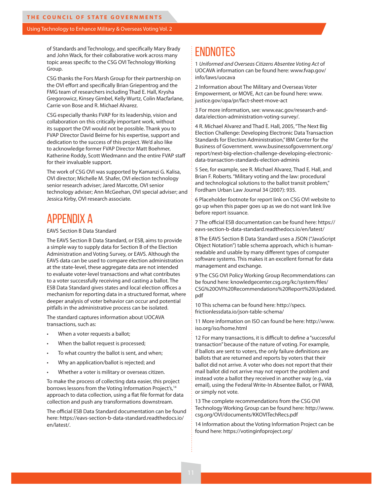of Standards and Technology, and specifically Mary Brady and John Wack, for their collaborative work across many topic areas specific to the CSG OVI Technology Working Group.

CSG thanks the Fors Marsh Group for their partnership on the OVI effort and specifically Brian Griepentrog and the FMG team of researchers including Thad E. Hall, Krysha Gregorowicz, Kinsey Gimbel, Kelly Wurtz, Colin Macfarlane, Carrie von Bose and R. Michael Alvarez.

CSG especially thanks FVAP for its leadership, vision and collaboration on this critically important work, without its support the OVI would not be possible. Thank you to FVAP Director David Beirne for his expertise, support and dedication to the success of this project. We'd also like to acknowledge former FVAP Director Matt Boehmer, Katherine Roddy, Scott Wiedmann and the entire FVAP staff for their invaluable support.

The work of CSG OVI was supported by Kamanzi G. Kalisa, OVI director; Michelle M. Shafer, OVI election technology senior research adviser; Jared Marcotte, OVI senior technology adviser; Ann McGeehan, OVI special adviser; and Jessica Kirby, OVI research associate.

## APPENDIX A

#### EAVS Section B Data Standard

The EAVS Section B Data Standard, or ESB, aims to provide a simple way to supply data for Section B of the Election Administration and Voting Survey, or EAVS. Although the EAVS data can be used to compare election administration at the state-level, these aggregate data are not intended to evaluate voter-level transactions and what contributes to a voter successfully receiving and casting a ballot. The ESB Data Standard gives states and local election offices a mechanism for reporting data in a structured format, where deeper analysis of voter behavior can occur and potential pitfalls in the administrative process can be isolated.

The standard captures information about UOCAVA transactions, such as:

- When a voter requests a ballot;
- When the ballot request is processed;
- To what country the ballot is sent, and when;
- Why an application/ballot is rejected; and
- Whether a voter is military or overseas citizen.

To make the process of collecting data easier, this project borrows lessons from the Voting Information Project's,<sup>14</sup> approach to data collection, using a flat file format for data collection and push any transformations downstream.

The official ESB Data Standard documentation can be found here: https://eavs-section-b-data-standard.readthedocs.io/ en/latest/.

## ENDNOTES

1 *Uniformed and Overseas Citizens Absentee Voting Act* of UOCAVA information can be found here: www.fvap.gov/ info/laws/uocava

2 Information about The Military and Overseas Voter Empowerment, or MOVE, Act can be found here: www. justice.gov/opa/pr/fact-sheet-move-act

3 For more information, see: www.eac.gov/research-anddata/election-administration-voting-survey/.

4 R. Michael Alvarez and Thad E. Hall, 2005, "The Next Big Election Challenge: Developing Electronic Data Transaction Standards for Election Administration," IBM Center for the Business of Government. www.businessofgovernment.org/ report/next-big-election-challenge-developing-electronicdata-transaction-standards-election-adminis

5 See, for example, see R. Michael Alvarez, Thad E. Hall, and Brian F. Roberts. "Military voting and the law: procedural and technological solutions to the ballot transit problem," Fordham Urban Law Journal 34 (2007): 935.

6 Placeholder footnote for report link on CSG OVI website to go up when this paper goes up as we do not want link live before report issuance.

7 The official ESB documentation can be found here: https:// eavs-section-b-data-standard.readthedocs.io/en/latest/

8 The EAVS Section B Data Standard uses a JSON ("JavaScript Object Notation") table schema approach, which is humanreadable and usable by many different types of computer software systems. This makes it an excellent format for data management and exchange.

9 The CSG OVI Policy Working Group Recommendations can be found here: knowledgecenter.csg.org/kc/system/files/ CSG%20OVI%20Recommendations%20Report%20Updated. pdf

10 This schema can be found here: http://specs. frictionlessdata.io/json-table-schema/

11 More information on ISO can found be here: http://www. iso.org/iso/home.html

12 For many transactions, it is difficult to define a "successful transaction" because of the nature of voting. For example, if ballots are sent to voters, the only failure definitions are ballots that are returned and reports by voters that their ballot did not arrive. A voter who does not report that their mail ballot did not arrive may not report the problem and instead vote a ballot they received in another way (e.g., via email), using the Federal Write-In Absentee Ballot, or FWAB, or simply not vote.

13 The complete recommendations from the CSG OVI Technology Working Group can be found here: http://www. csg.org/OVI/documents/KKOVITechRecs.pdf

14 Information about the Voting Information Project can be found here: https://votinginfoproject.org/